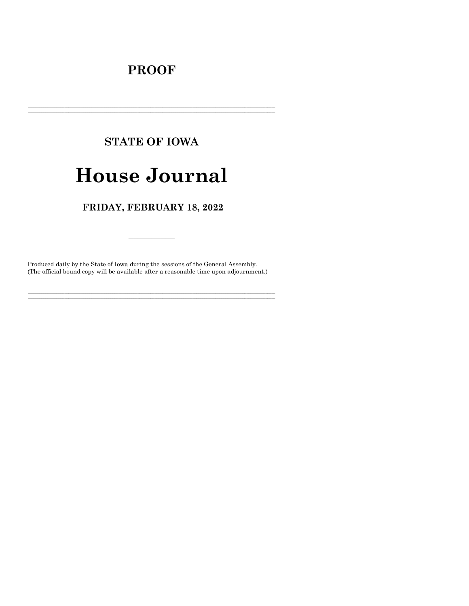## **PROOF**

# **STATE OF IOWA**

# **House Journal**

### FRIDAY, FEBRUARY 18, 2022

Produced daily by the State of Iowa during the sessions of the General Assembly. (The official bound copy will be available after a reasonable time upon adjournment.)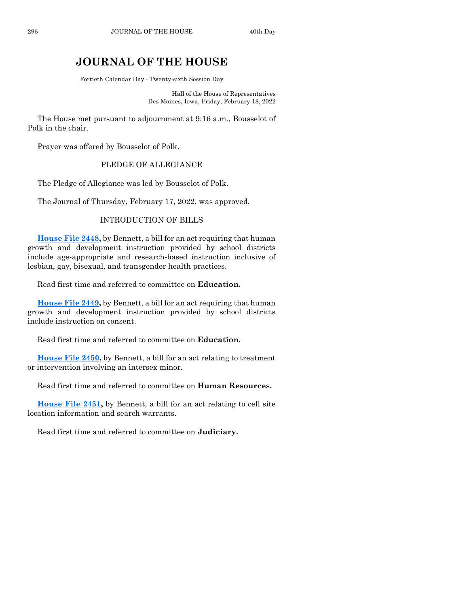## **JOURNAL OF THE HOUSE**

Fortieth Calendar Day - Twenty-sixth Session Day

Hall of the House of Representatives Des Moines, Iowa, Friday, February 18, 2022

The House met pursuant to adjournment at 9:16 a.m., Bousselot of Polk in the chair.

Prayer was offered by Bousselot of Polk.

#### PLEDGE OF ALLEGIANCE

The Pledge of Allegiance was led by Bousselot of Polk.

The Journal of Thursday, February 17, 2022, was approved.

#### INTRODUCTION OF BILLS

**[House File 2448,](https://www.legis.iowa.gov/legislation/BillBook?ga=89&ba=HF2448)** by Bennett, a bill for an act requiring that human growth and development instruction provided by school districts include age-appropriate and research-based instruction inclusive of lesbian, gay, bisexual, and transgender health practices.

Read first time and referred to committee on **Education.**

**[House File 2449,](https://www.legis.iowa.gov/legislation/BillBook?ga=89&ba=HF2449)** by Bennett, a bill for an act requiring that human growth and development instruction provided by school districts include instruction on consent.

Read first time and referred to committee on **Education.**

**[House File 2450,](https://www.legis.iowa.gov/legislation/BillBook?ga=89&ba=HF2450)** by Bennett, a bill for an act relating to treatment or intervention involving an intersex minor.

Read first time and referred to committee on **Human Resources.**

**[House File 2451,](https://www.legis.iowa.gov/legislation/BillBook?ga=89&ba=HF2451)** by Bennett, a bill for an act relating to cell site location information and search warrants.

Read first time and referred to committee on **Judiciary.**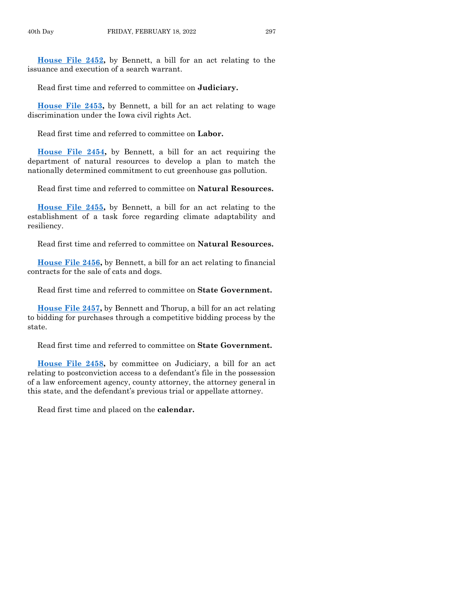**[House File 2452,](https://www.legis.iowa.gov/legislation/BillBook?ga=89&ba=HF2452)** by Bennett, a bill for an act relating to the issuance and execution of a search warrant.

Read first time and referred to committee on **Judiciary.**

**[House File 2453,](https://www.legis.iowa.gov/legislation/BillBook?ga=89&ba=HF2453)** by Bennett, a bill for an act relating to wage discrimination under the Iowa civil rights Act.

Read first time and referred to committee on **Labor.**

**[House File 2454,](https://www.legis.iowa.gov/legislation/BillBook?ga=89&ba=HF2454)** by Bennett, a bill for an act requiring the department of natural resources to develop a plan to match the nationally determined commitment to cut greenhouse gas pollution.

Read first time and referred to committee on **Natural Resources.**

**[House File 2455,](https://www.legis.iowa.gov/legislation/BillBook?ga=89&ba=HF2455)** by Bennett, a bill for an act relating to the establishment of a task force regarding climate adaptability and resiliency.

Read first time and referred to committee on **Natural Resources.**

**[House File 2456,](https://www.legis.iowa.gov/legislation/BillBook?ga=89&ba=HF2456)** by Bennett, a bill for an act relating to financial contracts for the sale of cats and dogs.

Read first time and referred to committee on **State Government.**

**[House File 2457,](https://www.legis.iowa.gov/legislation/BillBook?ga=89&ba=HF2457)** by Bennett and Thorup, a bill for an act relating to bidding for purchases through a competitive bidding process by the state.

Read first time and referred to committee on **State Government.**

**[House File 2458,](https://www.legis.iowa.gov/legislation/BillBook?ga=89&ba=HF2458)** by committee on Judiciary, a bill for an act relating to postconviction access to a defendant's file in the possession of a law enforcement agency, county attorney, the attorney general in this state, and the defendant's previous trial or appellate attorney.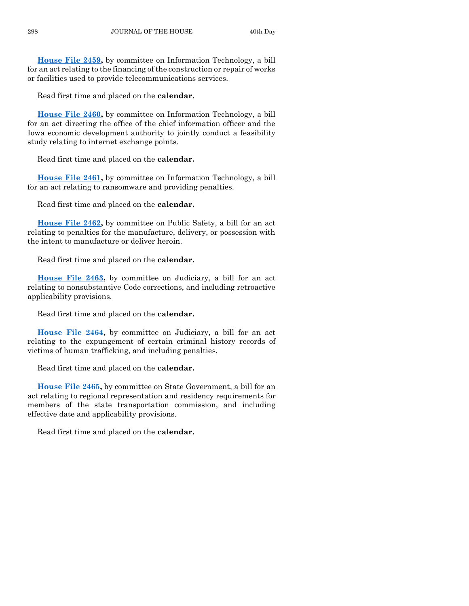**[House File 2459,](https://www.legis.iowa.gov/legislation/BillBook?ga=89&ba=HF2459)** by committee on Information Technology, a bill for an act relating to the financing of the construction or repair of works or facilities used to provide telecommunications services.

Read first time and placed on the **calendar.**

**[House File 2460,](https://www.legis.iowa.gov/legislation/BillBook?ga=89&ba=HF2460)** by committee on Information Technology, a bill for an act directing the office of the chief information officer and the Iowa economic development authority to jointly conduct a feasibility study relating to internet exchange points.

Read first time and placed on the **calendar.**

**[House File 2461,](https://www.legis.iowa.gov/legislation/BillBook?ga=89&ba=HF2461)** by committee on Information Technology, a bill for an act relating to ransomware and providing penalties.

Read first time and placed on the **calendar.**

**[House File 2462,](https://www.legis.iowa.gov/legislation/BillBook?ga=89&ba=HF2462)** by committee on Public Safety, a bill for an act relating to penalties for the manufacture, delivery, or possession with the intent to manufacture or deliver heroin.

Read first time and placed on the **calendar.**

**[House File 2463,](https://www.legis.iowa.gov/legislation/BillBook?ga=89&ba=HF2463)** by committee on Judiciary, a bill for an act relating to nonsubstantive Code corrections, and including retroactive applicability provisions.

Read first time and placed on the **calendar.**

**[House File 2464,](https://www.legis.iowa.gov/legislation/BillBook?ga=89&ba=HF2464)** by committee on Judiciary, a bill for an act relating to the expungement of certain criminal history records of victims of human trafficking, and including penalties.

Read first time and placed on the **calendar.**

**[House File 2465,](https://www.legis.iowa.gov/legislation/BillBook?ga=89&ba=HF2465)** by committee on State Government, a bill for an act relating to regional representation and residency requirements for members of the state transportation commission, and including effective date and applicability provisions.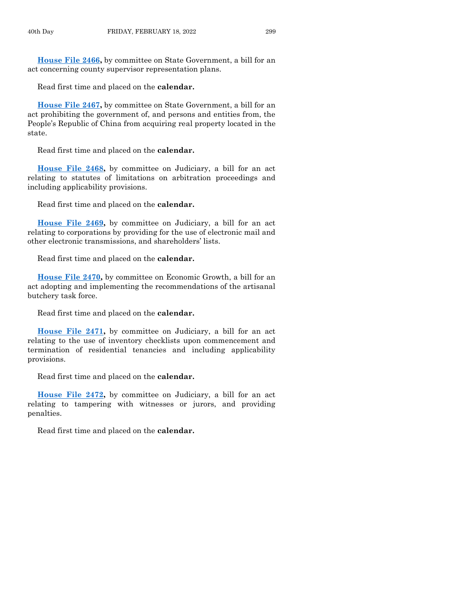**[House File 2466,](https://www.legis.iowa.gov/legislation/BillBook?ga=89&ba=HF2466)** by committee on State Government, a bill for an act concerning county supervisor representation plans.

Read first time and placed on the **calendar.**

**[House File 2467,](https://www.legis.iowa.gov/legislation/BillBook?ga=89&ba=HF2467)** by committee on State Government, a bill for an act prohibiting the government of, and persons and entities from, the People's Republic of China from acquiring real property located in the state.

Read first time and placed on the **calendar.**

**[House File 2468,](https://www.legis.iowa.gov/legislation/BillBook?ga=89&ba=HF2468)** by committee on Judiciary, a bill for an act relating to statutes of limitations on arbitration proceedings and including applicability provisions.

Read first time and placed on the **calendar.**

**[House File 2469,](https://www.legis.iowa.gov/legislation/BillBook?ga=89&ba=HF2469)** by committee on Judiciary, a bill for an act relating to corporations by providing for the use of electronic mail and other electronic transmissions, and shareholders' lists.

Read first time and placed on the **calendar.**

**[House File 2470,](https://www.legis.iowa.gov/legislation/BillBook?ga=89&ba=HF2470)** by committee on Economic Growth, a bill for an act adopting and implementing the recommendations of the artisanal butchery task force.

Read first time and placed on the **calendar.**

**[House File 2471,](https://www.legis.iowa.gov/legislation/BillBook?ga=89&ba=HF2471)** by committee on Judiciary, a bill for an act relating to the use of inventory checklists upon commencement and termination of residential tenancies and including applicability provisions.

Read first time and placed on the **calendar.**

**[House File 2472,](https://www.legis.iowa.gov/legislation/BillBook?ga=89&ba=HF2472)** by committee on Judiciary, a bill for an act relating to tampering with witnesses or jurors, and providing penalties.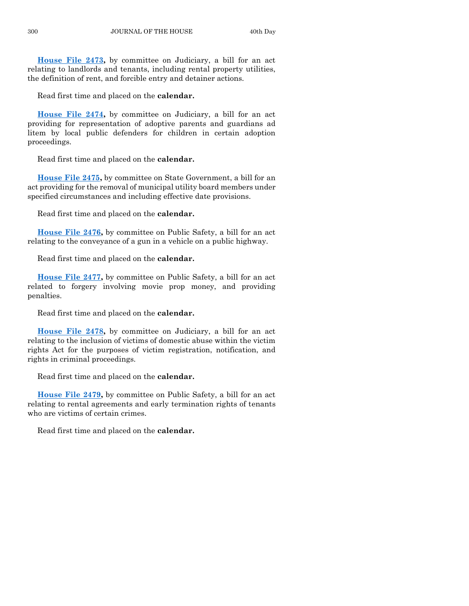**[House File 2473,](https://www.legis.iowa.gov/legislation/BillBook?ga=89&ba=HF2473)** by committee on Judiciary, a bill for an act relating to landlords and tenants, including rental property utilities, the definition of rent, and forcible entry and detainer actions.

Read first time and placed on the **calendar.**

**[House File 2474,](https://www.legis.iowa.gov/legislation/BillBook?ga=89&ba=HF2474)** by committee on Judiciary, a bill for an act providing for representation of adoptive parents and guardians ad litem by local public defenders for children in certain adoption proceedings.

Read first time and placed on the **calendar.**

**[House File 2475,](https://www.legis.iowa.gov/legislation/BillBook?ga=89&ba=HF2475)** by committee on State Government, a bill for an act providing for the removal of municipal utility board members under specified circumstances and including effective date provisions.

Read first time and placed on the **calendar.**

**[House File 2476,](https://www.legis.iowa.gov/legislation/BillBook?ga=89&ba=HF2476)** by committee on Public Safety, a bill for an act relating to the conveyance of a gun in a vehicle on a public highway.

Read first time and placed on the **calendar.**

**[House File 2477,](https://www.legis.iowa.gov/legislation/BillBook?ga=89&ba=HF2477)** by committee on Public Safety, a bill for an act related to forgery involving movie prop money, and providing penalties.

Read first time and placed on the **calendar.**

**[House File 2478,](https://www.legis.iowa.gov/legislation/BillBook?ga=89&ba=HF2478)** by committee on Judiciary, a bill for an act relating to the inclusion of victims of domestic abuse within the victim rights Act for the purposes of victim registration, notification, and rights in criminal proceedings.

Read first time and placed on the **calendar.**

**[House File 2479,](https://www.legis.iowa.gov/legislation/BillBook?ga=89&ba=HF2479)** by committee on Public Safety, a bill for an act relating to rental agreements and early termination rights of tenants who are victims of certain crimes.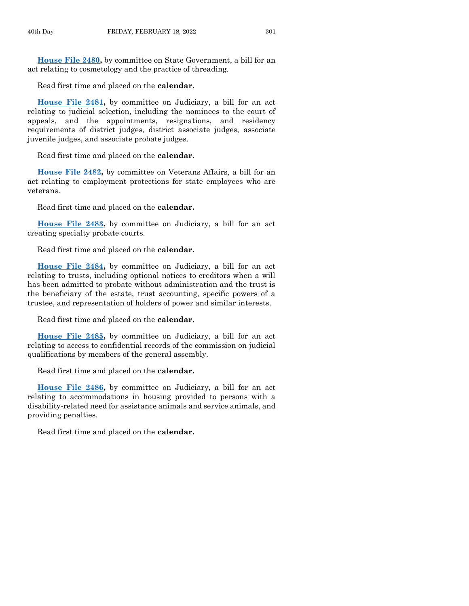**[House File 2480,](https://www.legis.iowa.gov/legislation/BillBook?ga=89&ba=HF2480)** by committee on State Government, a bill for an act relating to cosmetology and the practice of threading.

Read first time and placed on the **calendar.**

**[House File 2481,](https://www.legis.iowa.gov/legislation/BillBook?ga=89&ba=HF2481)** by committee on Judiciary, a bill for an act relating to judicial selection, including the nominees to the court of appeals, and the appointments, resignations, and residency requirements of district judges, district associate judges, associate juvenile judges, and associate probate judges.

Read first time and placed on the **calendar.**

**[House File 2482,](https://www.legis.iowa.gov/legislation/BillBook?ga=89&ba=HF2482)** by committee on Veterans Affairs, a bill for an act relating to employment protections for state employees who are veterans.

Read first time and placed on the **calendar.**

**[House File 2483,](https://www.legis.iowa.gov/legislation/BillBook?ga=89&ba=HF2483)** by committee on Judiciary, a bill for an act creating specialty probate courts.

Read first time and placed on the **calendar.**

**[House File 2484,](https://www.legis.iowa.gov/legislation/BillBook?ga=89&ba=HF2484)** by committee on Judiciary, a bill for an act relating to trusts, including optional notices to creditors when a will has been admitted to probate without administration and the trust is the beneficiary of the estate, trust accounting, specific powers of a trustee, and representation of holders of power and similar interests.

Read first time and placed on the **calendar.**

**[House File 2485,](https://www.legis.iowa.gov/legislation/BillBook?ga=89&ba=HF2485)** by committee on Judiciary, a bill for an act relating to access to confidential records of the commission on judicial qualifications by members of the general assembly.

Read first time and placed on the **calendar.**

**[House File 2486,](https://www.legis.iowa.gov/legislation/BillBook?ga=89&ba=HF2486)** by committee on Judiciary, a bill for an act relating to accommodations in housing provided to persons with a disability-related need for assistance animals and service animals, and providing penalties.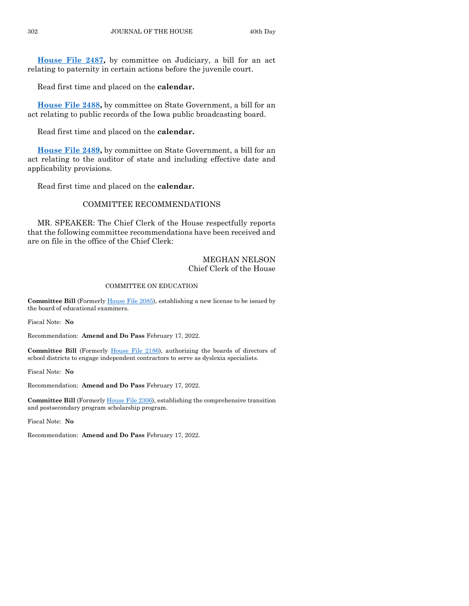**[House File 2487,](https://www.legis.iowa.gov/legislation/BillBook?ga=89&ba=HF2487)** by committee on Judiciary, a bill for an act relating to paternity in certain actions before the juvenile court.

Read first time and placed on the **calendar.**

**[House File 2488,](https://www.legis.iowa.gov/legislation/BillBook?ga=89&ba=HF2488)** by committee on State Government, a bill for an act relating to public records of the Iowa public broadcasting board.

Read first time and placed on the **calendar.**

**[House File 2489,](https://www.legis.iowa.gov/legislation/BillBook?ga=89&ba=HF2489)** by committee on State Government, a bill for an act relating to the auditor of state and including effective date and applicability provisions.

Read first time and placed on the **calendar.**

#### COMMITTEE RECOMMENDATIONS

MR. SPEAKER: The Chief Clerk of the House respectfully reports that the following committee recommendations have been received and are on file in the office of the Chief Clerk:

#### MEGHAN NELSON Chief Clerk of the House

#### COMMITTEE ON EDUCATION

**Committee Bill** (Formerl[y House File 2085\)](https://www.legis.iowa.gov/legislation/BillBook?ga=89&ba=HF2085), establishing a new license to be issued by the board of educational examiners.

Fiscal Note: **No**

Recommendation: **Amend and Do Pass** February 17, 2022.

**Committee Bill** (Formerly [House File 2186\)](https://www.legis.iowa.gov/legislation/BillBook?ga=89&ba=HF2186), authorizing the boards of directors of school districts to engage independent contractors to serve as dyslexia specialists.

Fiscal Note: **No**

Recommendation: **Amend and Do Pass** February 17, 2022.

**Committee Bill** (Formerly House [File 2306\)](https://www.legis.iowa.gov/legislation/BillBook?ga=89&ba=HF2306), establishing the comprehensive transition and postsecondary program scholarship program.

Fiscal Note: **No**

Recommendation: **Amend and Do Pass** February 17, 2022.